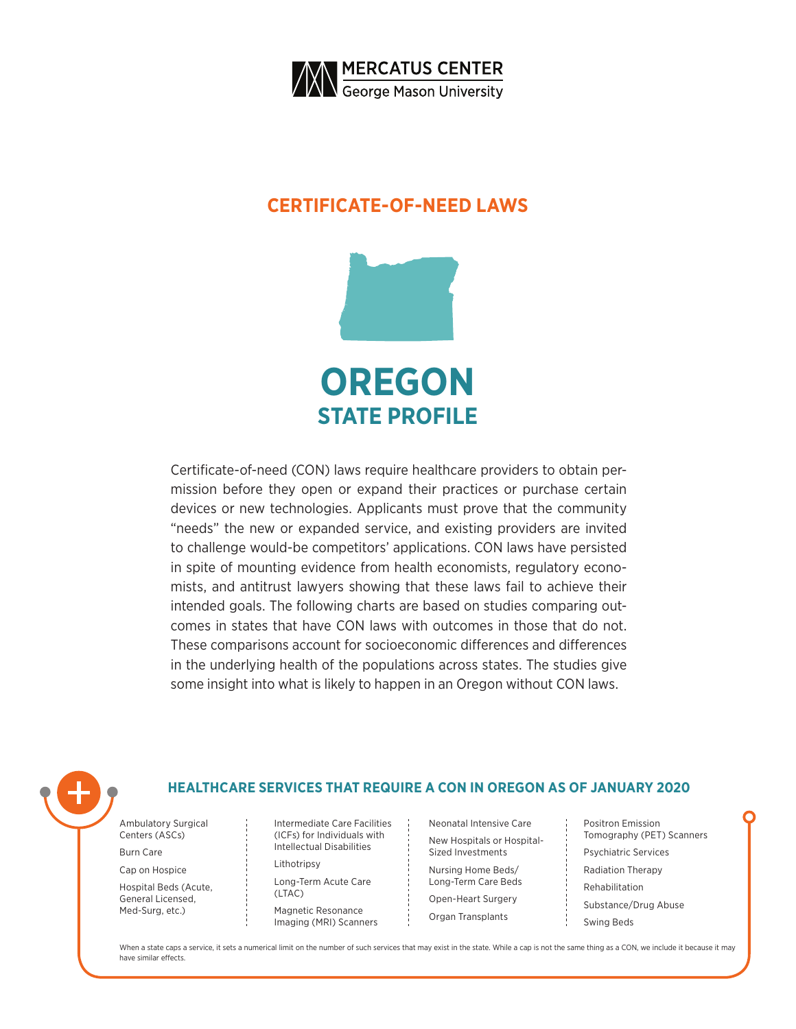

### **CERTIFICATE-OF-NEED LAWS**



Certificate-of-need (CON) laws require healthcare providers to obtain permission before they open or expand their practices or purchase certain devices or new technologies. Applicants must prove that the community "needs" the new or expanded service, and existing providers are invited to challenge would-be competitors' applications. CON laws have persisted in spite of mounting evidence from health economists, regulatory economists, and antitrust lawyers showing that these laws fail to achieve their intended goals. The following charts are based on studies comparing outcomes in states that have CON laws with outcomes in those that do not. These comparisons account for socioeconomic differences and differences in the underlying health of the populations across states. The studies give some insight into what is likely to happen in an Oregon without CON laws.



### **HEALTHCARE SERVICES THAT REQUIRE A CON IN OREGON AS OF JANUARY 2020**

Ambulatory Surgical Centers (ASCs)

Burn Care

Cap on Hospice

Hospital Beds (Acute, General Licensed, Med-Surg, etc.)

Intermediate Care Facilities (ICFs) for Individuals with Intellectual Disabilities

Lithotripsy

Long-Term Acute Care (LTAC) Magnetic Resonance

Imaging (MRI) Scanners

Neonatal Intensive Care New Hospitals or Hospital-Sized Investments

Nursing Home Beds/ Long-Term Care Beds Open-Heart Surgery

Organ Transplants

Positron Emission Tomography (PET) Scanners Psychiatric Services Radiation Therapy Rehabilitation Substance/Drug Abuse Swing Beds

When a state caps a service, it sets a numerical limit on the number of such services that may exist in the state. While a cap is not the same thing as a CON, we include it because it may have similar effects.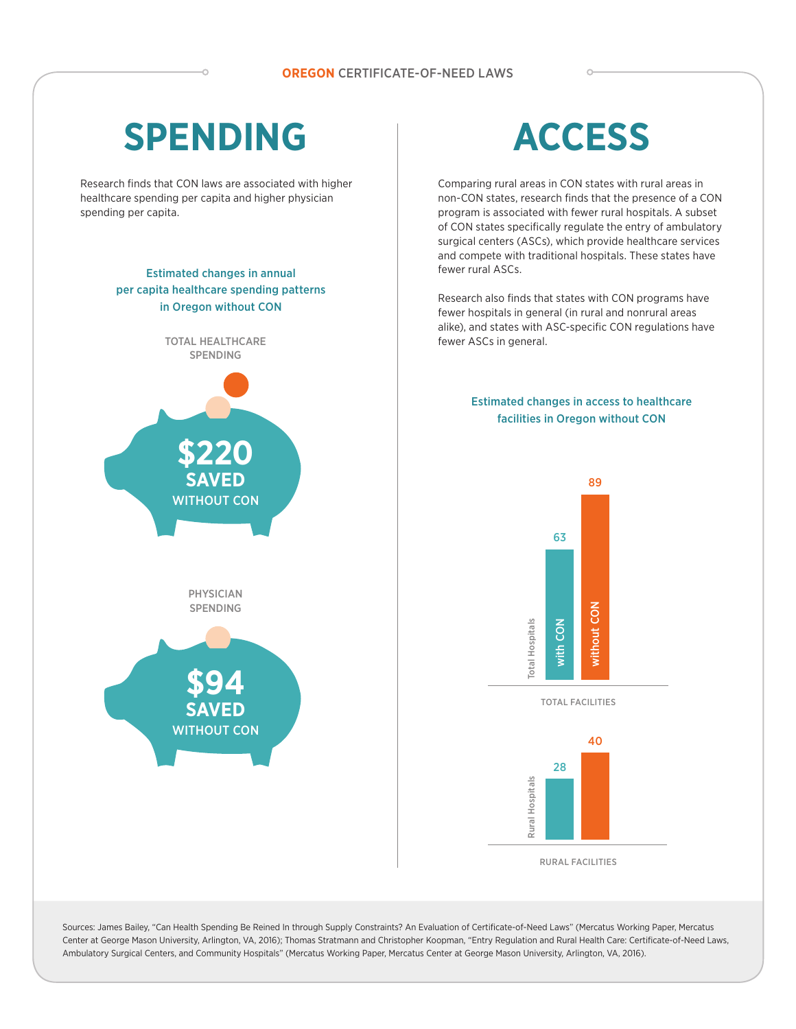# **SPENDING**

Research finds that CON laws are associated with higher healthcare spending per capita and higher physician spending per capita.

### Estimated changes in annual per capita healthcare spending patterns in Oregon without CON



# **ACCESS**

Comparing rural areas in CON states with rural areas in non-CON states, research finds that the presence of a CON program is associated with fewer rural hospitals. A subset of CON states specifically regulate the entry of ambulatory surgical centers (ASCs), which provide healthcare services and compete with traditional hospitals. These states have fewer rural ASCs.

Research also finds that states with CON programs have fewer hospitals in general (in rural and nonrural areas alike), and states with ASC-specific CON regulations have fewer ASCs in general.

### Estimated changes in access to healthcare facilities in Oregon without CON





Sources: James Bailey, "Can Health Spending Be Reined In through Supply Constraints? An Evaluation of Certificate-of-Need Laws" (Mercatus Working Paper, Mercatus Center at George Mason University, Arlington, VA, 2016); Thomas Stratmann and Christopher Koopman, "Entry Regulation and Rural Health Care: Certificate-of-Need Laws, Ambulatory Surgical Centers, and Community Hospitals" (Mercatus Working Paper, Mercatus Center at George Mason University, Arlington, VA, 2016).